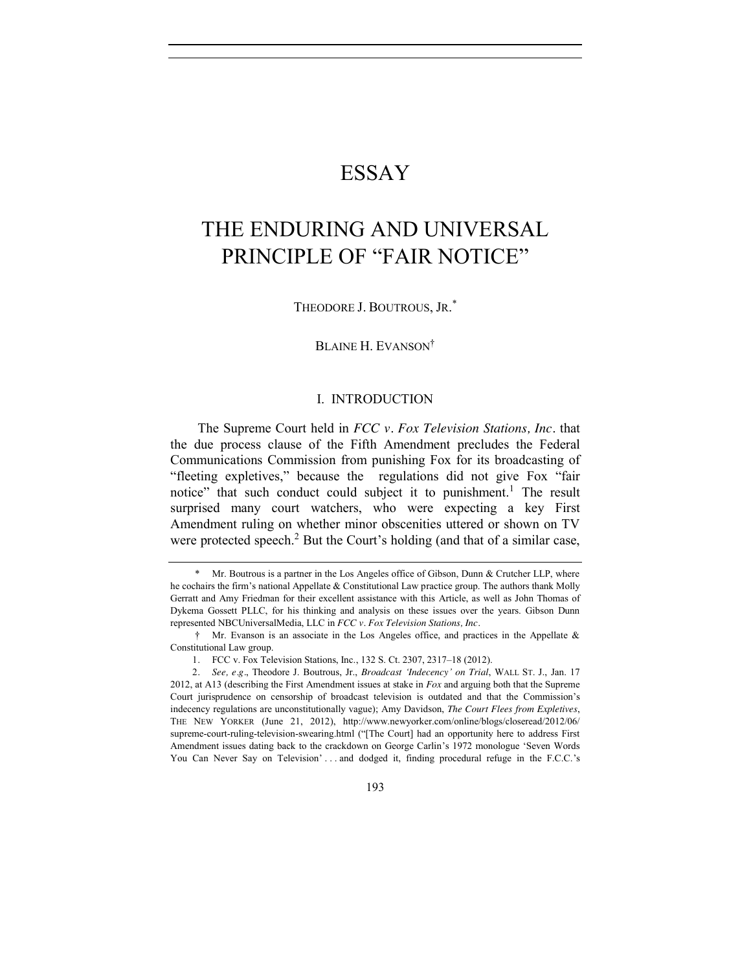## ESSAY

# THE ENDURING AND UNIVERSAL PRINCIPLE OF "FAIR NOTICE"

THEODORE J. BOUTROUS, JR. \*

BLAINE H. EVANSON†

## I. INTRODUCTION

The Supreme Court held in *FCC v. Fox Television Stations, Inc.* that the due process clause of the Fifth Amendment precludes the Federal Communications Commission from punishing Fox for its broadcasting of "fleeting expletives," because the regulations did not give Fox "fair notice" that such conduct could subject it to punishment.<sup>1</sup> The result surprised many court watchers, who were expecting a key First Amendment ruling on whether minor obscenities uttered or shown on TV were protected speech.<sup>2</sup> But the Court's holding (and that of a similar case,

<span id="page-0-0"></span><sup>\*</sup> Mr. Boutrous is a partner in the Los Angeles office of Gibson, Dunn & Crutcher LLP, where he cochairs the firm's national Appellate & Constitutional Law practice group. The authors thank Molly Gerratt and Amy Friedman for their excellent assistance with this Article, as well as John Thomas of Dykema Gossett PLLC, for his thinking and analysis on these issues over the years. Gibson Dunn represented NBCUniversalMedia, LLC in *FCC v. Fox Television Stations, Inc.*

<sup>†</sup> Mr. Evanson is an associate in the Los Angeles office, and practices in the Appellate & Constitutional Law group.

<sup>1</sup>*.* FCC v. Fox Television Stations, Inc., 132 S. Ct. 2307, 2317–18 (2012).

<sup>2</sup>*. See, e.g.*, Theodore J. Boutrous, Jr., *Broadcast 'Indecency' on Trial*, WALL ST. J., Jan. 17 2012, at A13 (describing the First Amendment issues at stake in *Fox* and arguing both that the Supreme Court jurisprudence on censorship of broadcast television is outdated and that the Commission's indecency regulations are unconstitutionally vague); Amy Davidson, *The Court Flees from Expletives*, THE NEW YORKER (June 21, 2012), http://www.newyorker.com/online/blogs/closeread/2012/06/ supreme-court-ruling-television-swearing.html ("[The Court] had an opportunity here to address First Amendment issues dating back to the crackdown on George Carlin's 1972 monologue 'Seven Words You Can Never Say on Television' ... and dodged it, finding procedural refuge in the F.C.C.'s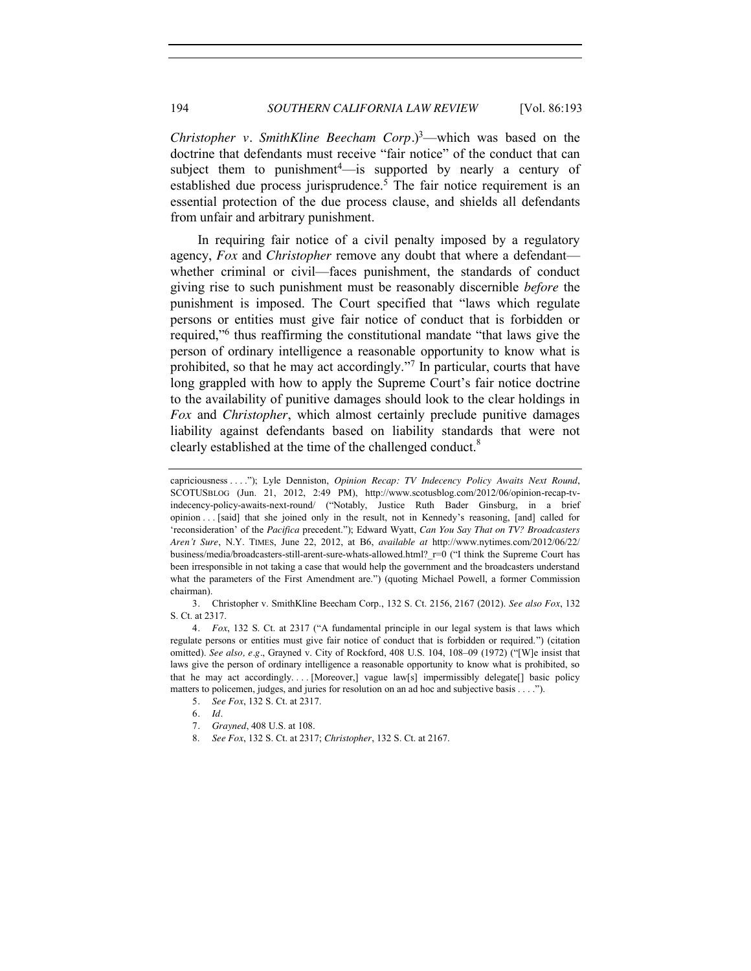*Christopher v. SmithKline Beecham Corp.* $)$ <sup>3</sup>—which was based on the doctrine that defendants must receive "fair notice" of the conduct that can subject them to punishment $4$ —is supported by nearly a century of established due process jurisprudence.<sup>5</sup> The fair notice requirement is an essential protection of the due process clause, and shields all defendants from unfair and arbitrary punishment.

In requiring fair notice of a civil penalty imposed by a regulatory agency, *Fox* and *Christopher* remove any doubt that where a defendant whether criminal or civil—faces punishment, the standards of conduct giving rise to such punishment must be reasonably discernible *before* the punishment is imposed. The Court specified that "laws which regulate persons or entities must give fair notice of conduct that is forbidden or required,"<sup>6</sup> thus reaffirming the constitutional mandate "that laws give the person of ordinary intelligence a reasonable opportunity to know what is prohibited, so that he may act accordingly."<sup>7</sup> In particular, courts that have long grappled with how to apply the Supreme Court's fair notice doctrine to the availability of punitive damages should look to the clear holdings in *Fox* and *Christopher*, which almost certainly preclude punitive damages liability against defendants based on liability standards that were not clearly established at the time of the challenged conduct.<sup>8</sup>

3*.* Christopher v. SmithKline Beecham Corp., 132 S. Ct. 2156, 2167 (2012). *See also Fox*, 132 S. Ct. at 2317.

4*. Fox*, 132 S. Ct. at 2317 ("A fundamental principle in our legal system is that laws which regulate persons or entities must give fair notice of conduct that is forbidden or required.") (citation omitted). *See also, e.g.*, Grayned v. City of Rockford, 408 U.S. 104, 108–09 (1972) ("[W]e insist that laws give the person of ordinary intelligence a reasonable opportunity to know what is prohibited, so that he may act accordingly. . . . [Moreover,] vague law[s] impermissibly delegate[] basic policy matters to policemen, judges, and juries for resolution on an ad hoc and subjective basis . . . .").

capriciousness . . . ."); Lyle Denniston, *Opinion Recap: TV Indecency Policy Awaits Next Round*, SCOTUSBLOG (Jun. 21, 2012, 2:49 PM), http://www.scotusblog.com/2012/06/opinion-recap-tvindecency-policy-awaits-next-round/ ("Notably, Justice Ruth Bader Ginsburg, in a brief opinion . . . [said] that she joined only in the result, not in Kennedy's reasoning, [and] called for 'reconsideration' of the *Pacifica* precedent."); Edward Wyatt, *Can You Say That on TV? Broadcasters Aren't Sure*, N.Y. TIMES, June 22, 2012, at B6, *available at* http://www.nytimes.com/2012/06/22/ business/media/broadcasters-still-arent-sure-whats-allowed.html?\_r=0 ("I think the Supreme Court has been irresponsible in not taking a case that would help the government and the broadcasters understand what the parameters of the First Amendment are.") (quoting Michael Powell, a former Commission chairman).

<sup>5</sup>*. See Fox*, 132 S. Ct. at 2317.

<sup>6</sup>*. Id.*

<sup>7</sup>*. Grayned*, 408 U.S. at 108.

<sup>8.</sup> *See Fox*, 132 S. Ct. at 2317; *Christopher*, 132 S. Ct. at 2167.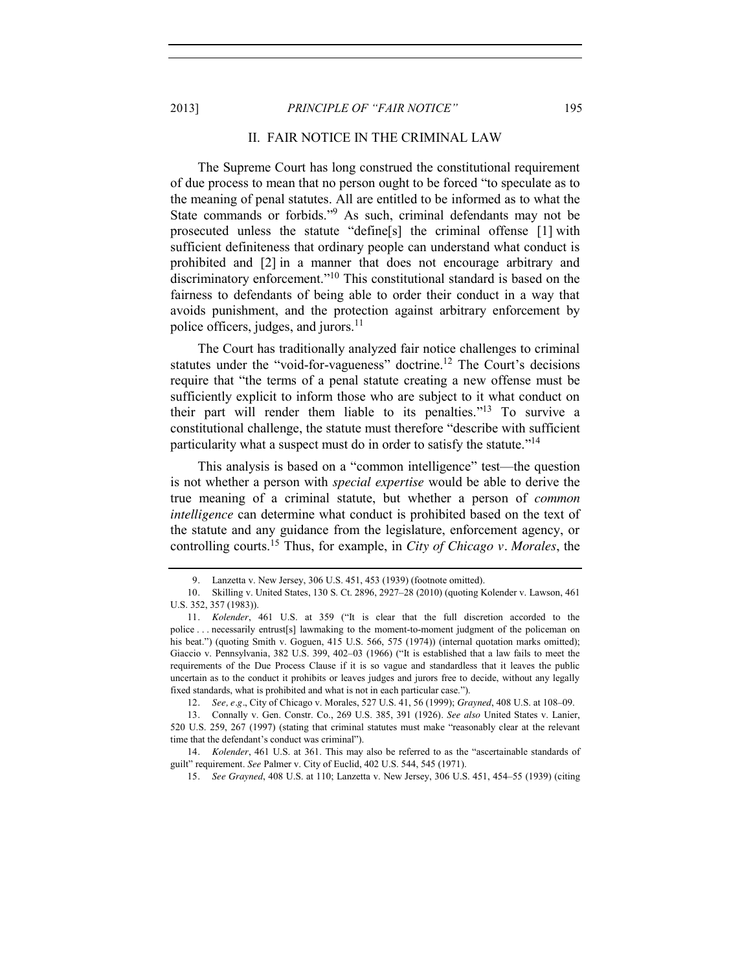#### 2013] *PRINCIPLE OF "FAIR NOTICE"* 195

## II. FAIR NOTICE IN THE CRIMINAL LAW

The Supreme Court has long construed the constitutional requirement of due process to mean that no person ought to be forced "to speculate as to the meaning of penal statutes. All are entitled to be informed as to what the State commands or forbids."<sup>9</sup> As such, criminal defendants may not be prosecuted unless the statute "define[s] the criminal offense [1] with sufficient definiteness that ordinary people can understand what conduct is prohibited and [2] in a manner that does not encourage arbitrary and discriminatory enforcement."<sup>10</sup> This constitutional standard is based on the fairness to defendants of being able to order their conduct in a way that avoids punishment, and the protection against arbitrary enforcement by police officers, judges, and jurors.<sup>11</sup>

The Court has traditionally analyzed fair notice challenges to criminal statutes under the "void-for-vagueness" doctrine.<sup>12</sup> The Court's decisions require that "the terms of a penal statute creating a new offense must be sufficiently explicit to inform those who are subject to it what conduct on their part will render them liable to its penalties.<sup> $13$ </sup> To survive a constitutional challenge, the statute must therefore "describe with sufficient particularity what a suspect must do in order to satisfy the statute."<sup>14</sup>

This analysis is based on a "common intelligence" test—the question is not whether a person with *special expertise* would be able to derive the true meaning of a criminal statute, but whether a person of *common intelligence* can determine what conduct is prohibited based on the text of the statute and any guidance from the legislature, enforcement agency, or controlling courts.15 Thus, for example, in *City of Chicago v. Morales*, the

<sup>9</sup>*.* Lanzetta v. New Jersey, 306 U.S. 451, 453 (1939) (footnote omitted).

<sup>10</sup>*.* Skilling v. United States, 130 S. Ct. 2896, 2927–28 (2010) (quoting Kolender v. Lawson, 461 U.S. 352, 357 (1983)).

<sup>11</sup>*. Kolender*, 461 U.S. at 359 ("It is clear that the full discretion accorded to the police . . . necessarily entrust[s] lawmaking to the moment-to-moment judgment of the policeman on his beat.") (quoting Smith v. Goguen, 415 U.S. 566, 575 (1974)) (internal quotation marks omitted); Giaccio v. Pennsylvania, 382 U.S. 399, 402–03 (1966) ("It is established that a law fails to meet the requirements of the Due Process Clause if it is so vague and standardless that it leaves the public uncertain as to the conduct it prohibits or leaves judges and jurors free to decide, without any legally fixed standards, what is prohibited and what is not in each particular case.").

<sup>12</sup>*. See, e.g.*, City of Chicago v. Morales, 527 U.S. 41, 56 (1999); *Grayned*, 408 U.S. at 108–09.

<sup>13</sup>*.* Connally v. Gen. Constr. Co., 269 U.S. 385, 391 (1926). *See also* United States v. Lanier, 520 U.S. 259, 267 (1997) (stating that criminal statutes must make "reasonably clear at the relevant time that the defendant's conduct was criminal").

<sup>14</sup>*. Kolender*, 461 U.S. at 361. This may also be referred to as the "ascertainable standards of guilt" requirement. *See* Palmer v. City of Euclid, 402 U.S. 544, 545 (1971).

<sup>15</sup>*. See Grayned*, 408 U.S. at 110; Lanzetta v. New Jersey, 306 U.S. 451, 454–55 (1939) (citing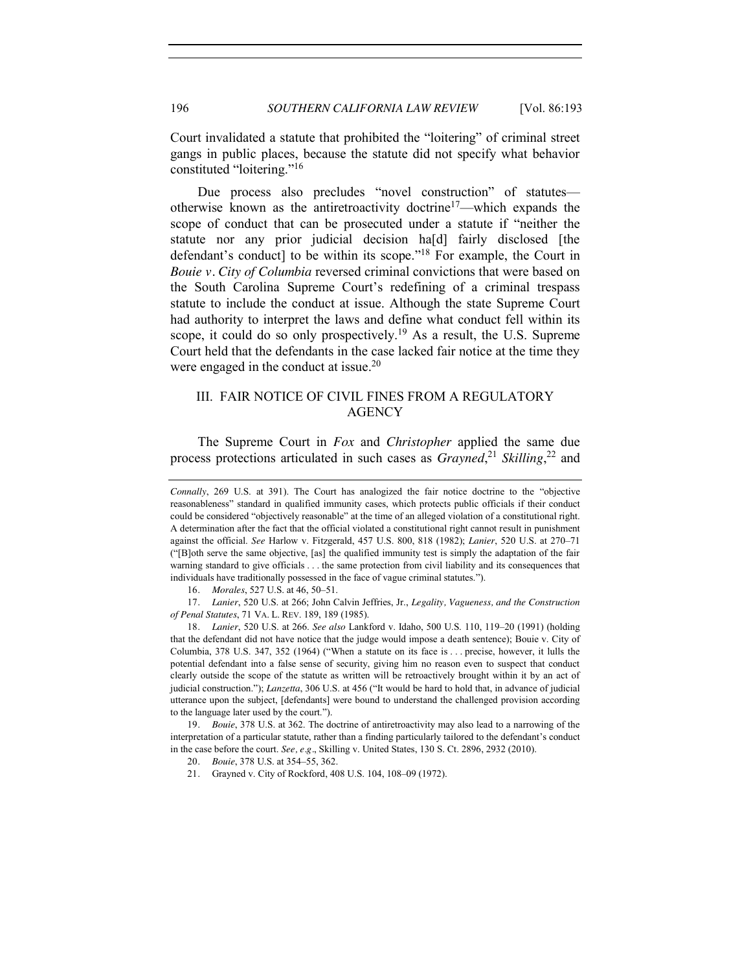Court invalidated a statute that prohibited the "loitering" of criminal street gangs in public places, because the statute did not specify what behavior constituted "loitering."<sup>16</sup>

Due process also precludes "novel construction" of statutes otherwise known as the antiretroactivity doctrine17—which expands the scope of conduct that can be prosecuted under a statute if "neither the statute nor any prior judicial decision ha[d] fairly disclosed [the defendant's conduct] to be within its scope."<sup>18</sup> For example, the Court in *Bouie v. City of Columbia* reversed criminal convictions that were based on the South Carolina Supreme Court's redefining of a criminal trespass statute to include the conduct at issue. Although the state Supreme Court had authority to interpret the laws and define what conduct fell within its scope, it could do so only prospectively.<sup>19</sup> As a result, the U.S. Supreme Court held that the defendants in the case lacked fair notice at the time they were engaged in the conduct at issue.<sup>20</sup>

## III. FAIR NOTICE OF CIVIL FINES FROM A REGULATORY **AGENCY**

The Supreme Court in *Fox* and *Christopher* applied the same due process protections articulated in such cases as *Grayned*, <sup>21</sup> *Skilling*, <sup>22</sup> and

16*. Morales*, 527 U.S. at 46, 50–51.

17*. Lanier*, 520 U.S. at 266; John Calvin Jeffries, Jr., *Legality, Vagueness, and the Construction of Penal Statutes*, 71 VA. L. REV. 189, 189 (1985).

18*. Lanier*, 520 U.S. at 266. *See also* Lankford v. Idaho, 500 U.S. 110, 119–20 (1991) (holding that the defendant did not have notice that the judge would impose a death sentence); Bouie v. City of Columbia, 378 U.S. 347, 352 (1964) ("When a statute on its face is . . . precise, however, it lulls the potential defendant into a false sense of security, giving him no reason even to suspect that conduct clearly outside the scope of the statute as written will be retroactively brought within it by an act of judicial construction."); *Lanzetta*, 306 U.S. at 456 ("It would be hard to hold that, in advance of judicial utterance upon the subject, [defendants] were bound to understand the challenged provision according to the language later used by the court.").

19*. Bouie*, 378 U.S. at 362. The doctrine of antiretroactivity may also lead to a narrowing of the interpretation of a particular statute, rather than a finding particularly tailored to the defendant's conduct in the case before the court. *See, e.g.*, Skilling v. United States, 130 S. Ct. 2896, 2932 (2010).

*Connally*, 269 U.S. at 391). The Court has analogized the fair notice doctrine to the "objective reasonableness" standard in qualified immunity cases, which protects public officials if their conduct could be considered "objectively reasonable" at the time of an alleged violation of a constitutional right. A determination after the fact that the official violated a constitutional right cannot result in punishment against the official. *See* Harlow v. Fitzgerald, 457 U.S. 800, 818 (1982); *Lanier*, 520 U.S. at 270–71 ("[B]oth serve the same objective, [as] the qualified immunity test is simply the adaptation of the fair warning standard to give officials . . . the same protection from civil liability and its consequences that individuals have traditionally possessed in the face of vague criminal statutes.").

<sup>20</sup>*. Bouie*, 378 U.S. at 354–55, 362.

<sup>21</sup>*.* Grayned v. City of Rockford, 408 U.S. 104, 108–09 (1972).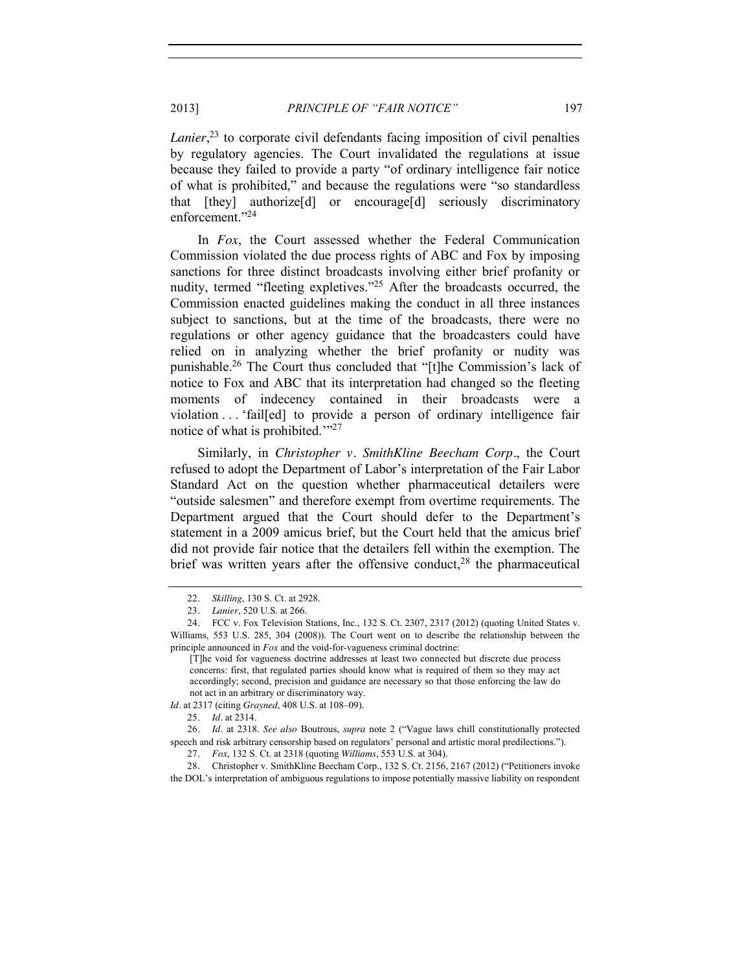*Lanier*, <sup>23</sup> to corporate civil defendants facing imposition of civil penalties by regulatory agencies. The Court invalidated the regulations at issue because they failed to provide a party "of ordinary intelligence fair notice of what is prohibited," and because the regulations were "so standardless that [they] authorize[d] or encourage[d] seriously discriminatory enforcement."<sup>24</sup>

In *Fox*, the Court assessed whether the Federal Communication Commission violated the due process rights of ABC and Fox by imposing sanctions for three distinct broadcasts involving either brief profanity or nudity, termed "fleeting expletives."<sup>25</sup> After the broadcasts occurred, the Commission enacted guidelines making the conduct in all three instances subject to sanctions, but at the time of the broadcasts, there were no regulations or other agency guidance that the broadcasters could have relied on in analyzing whether the brief profanity or nudity was punishable.26 The Court thus concluded that "[t]he Commission's lack of notice to Fox and ABC that its interpretation had changed so the fleeting moments of indecency contained in their broadcasts were a violation . . . 'fail[ed] to provide a person of ordinary intelligence fair notice of what is prohibited."<sup>27</sup>

Similarly, in *Christopher v. SmithKline Beecham Corp.*, the Court refused to adopt the Department of Labor's interpretation of the Fair Labor Standard Act on the question whether pharmaceutical detailers were "outside salesmen" and therefore exempt from overtime requirements. The Department argued that the Court should defer to the Department's statement in a 2009 amicus brief, but the Court held that the amicus brief did not provide fair notice that the detailers fell within the exemption. The brief was written years after the offensive conduct,  $2<sup>8</sup>$  the pharmaceutical

*Id.* at 2317 (citing *Grayned*, 408 U.S. at 108–09).

<sup>22</sup>*. Skilling*, 130 S. Ct. at 2928.

<sup>23</sup>*. Lanier*, 520 U.S. at 266.

<sup>24</sup>*.* FCC v. Fox Television Stations, Inc., 132 S. Ct. 2307, 2317 (2012) (quoting United States v. Williams, 553 U.S. 285, 304 (2008)). The Court went on to describe the relationship between the principle announced in *Fox* and the void-for-vagueness criminal doctrine:

<sup>[</sup>T]he void for vagueness doctrine addresses at least two connected but discrete due process concerns: first, that regulated parties should know what is required of them so they may act accordingly; second, precision and guidance are necessary so that those enforcing the law do not act in an arbitrary or discriminatory way.

<sup>25</sup>*. Id.* at 2314.

<sup>26</sup>*. Id.* at 2318. *See also* Boutrous, *supra* note [2](#page-0-0) ("Vague laws chill constitutionally protected speech and risk arbitrary censorship based on regulators' personal and artistic moral predilections.").

<sup>27</sup>*. Fox*, 132 S. Ct. at 2318 (quoting *Williams*, 553 U.S. at 304).

<sup>28</sup>*.* Christopher v. SmithKline Beecham Corp., 132 S. Ct. 2156, 2167 (2012) ("Petitioners invoke the DOL's interpretation of ambiguous regulations to impose potentially massive liability on respondent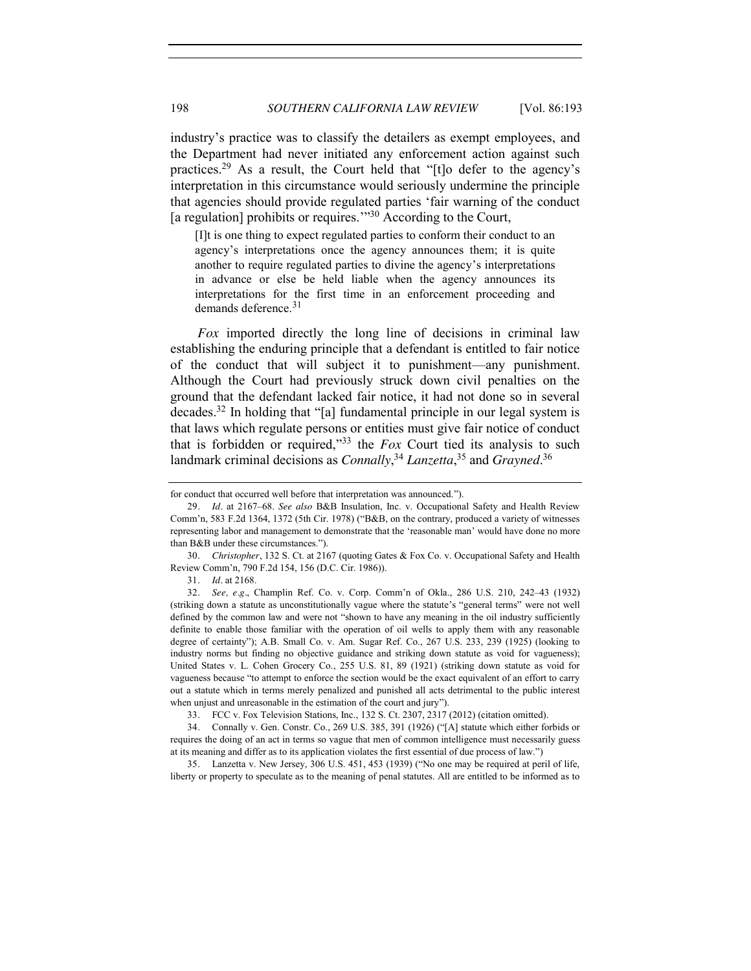industry's practice was to classify the detailers as exempt employees, and the Department had never initiated any enforcement action against such practices.<sup>29</sup> As a result, the Court held that "[t]o defer to the agency's interpretation in this circumstance would seriously undermine the principle that agencies should provide regulated parties 'fair warning of the conduct [a regulation] prohibits or requires.<sup>'"30</sup> According to the Court,

[I]t is one thing to expect regulated parties to conform their conduct to an agency's interpretations once the agency announces them; it is quite another to require regulated parties to divine the agency's interpretations in advance or else be held liable when the agency announces its interpretations for the first time in an enforcement proceeding and demands deference. $31$ 

*Fox* imported directly the long line of decisions in criminal law establishing the enduring principle that a defendant is entitled to fair notice of the conduct that will subject it to punishment—any punishment. Although the Court had previously struck down civil penalties on the ground that the defendant lacked fair notice, it had not done so in several decades.<sup>32</sup> In holding that "[a] fundamental principle in our legal system is that laws which regulate persons or entities must give fair notice of conduct that is forbidden or required,"<sup>33</sup> the *Fox* Court tied its analysis to such landmark criminal decisions as *Connally*, <sup>34</sup> *Lanzetta*, <sup>35</sup> and *Grayned*. 36

33*.* FCC v. Fox Television Stations, Inc., 132 S. Ct. 2307, 2317 (2012) (citation omitted).

for conduct that occurred well before that interpretation was announced.").

<sup>29</sup>*. Id.* at 2167–68. *See also* B&B Insulation, Inc. v. Occupational Safety and Health Review Comm'n, 583 F.2d 1364, 1372 (5th Cir. 1978) ("B&B, on the contrary, produced a variety of witnesses representing labor and management to demonstrate that the 'reasonable man' would have done no more than B&B under these circumstances.").

<sup>30</sup>*. Christopher*, 132 S. Ct. at 2167 (quoting Gates & Fox Co. v. Occupational Safety and Health Review Comm'n, 790 F.2d 154, 156 (D.C. Cir. 1986)).

<sup>31</sup>*. Id.* at 2168.

<sup>32</sup>*. See, e.g.*, Champlin Ref. Co. v. Corp. Comm'n of Okla., 286 U.S. 210, 242–43 (1932) (striking down a statute as unconstitutionally vague where the statute's "general terms" were not well defined by the common law and were not "shown to have any meaning in the oil industry sufficiently definite to enable those familiar with the operation of oil wells to apply them with any reasonable degree of certainty"); A.B. Small Co. v. Am. Sugar Ref. Co., 267 U.S. 233, 239 (1925) (looking to industry norms but finding no objective guidance and striking down statute as void for vagueness); United States v. L. Cohen Grocery Co., 255 U.S. 81, 89 (1921) (striking down statute as void for vagueness because "to attempt to enforce the section would be the exact equivalent of an effort to carry out a statute which in terms merely penalized and punished all acts detrimental to the public interest when unjust and unreasonable in the estimation of the court and jury").

<sup>34</sup>*.* Connally v. Gen. Constr. Co., 269 U.S. 385, 391 (1926) ("[A] statute which either forbids or requires the doing of an act in terms so vague that men of common intelligence must necessarily guess at its meaning and differ as to its application violates the first essential of due process of law.")

<sup>35</sup>*.* Lanzetta v. New Jersey, 306 U.S. 451, 453 (1939) ("No one may be required at peril of life, liberty or property to speculate as to the meaning of penal statutes. All are entitled to be informed as to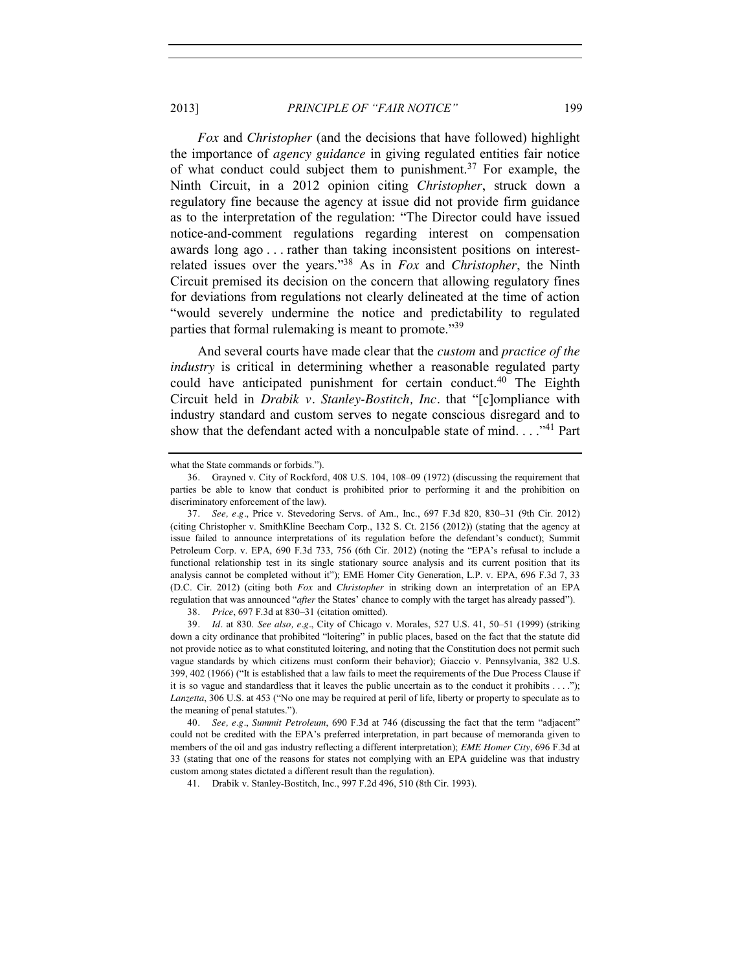#### 2013] *PRINCIPLE OF "FAIR NOTICE"* 199

*Fox* and *Christopher* (and the decisions that have followed) highlight the importance of *agency guidance* in giving regulated entities fair notice of what conduct could subject them to punishment.<sup>37</sup> For example, the Ninth Circuit, in a 2012 opinion citing *Christopher*, struck down a regulatory fine because the agency at issue did not provide firm guidance as to the interpretation of the regulation: "The Director could have issued notice-and-comment regulations regarding interest on compensation awards long ago . . . rather than taking inconsistent positions on interestrelated issues over the years."<sup>38</sup> As in *Fox* and *Christopher*, the Ninth Circuit premised its decision on the concern that allowing regulatory fines for deviations from regulations not clearly delineated at the time of action "would severely undermine the notice and predictability to regulated parties that formal rulemaking is meant to promote."<sup>39</sup>

And several courts have made clear that the *custom* and *practice of the industry* is critical in determining whether a reasonable regulated party could have anticipated punishment for certain conduct.<sup>40</sup> The Eighth Circuit held in *Drabik v. Stanley-Bostitch, Inc.* that "[c]ompliance with industry standard and custom serves to negate conscious disregard and to show that the defendant acted with a nonculpable state of mind.  $\ldots$ <sup>41</sup> Part

38*. Price*, 697 F.3d at 830–31 (citation omitted).

39*. Id.* at 830. *See also, e.g.*, City of Chicago v. Morales, 527 U.S. 41, 50–51 (1999) (striking down a city ordinance that prohibited "loitering" in public places, based on the fact that the statute did not provide notice as to what constituted loitering, and noting that the Constitution does not permit such vague standards by which citizens must conform their behavior); Giaccio v. Pennsylvania, 382 U.S. 399, 402 (1966) ("It is established that a law fails to meet the requirements of the Due Process Clause if it is so vague and standardless that it leaves the public uncertain as to the conduct it prohibits . . . ."); *Lanzetta*, 306 U.S. at 453 ("No one may be required at peril of life, liberty or property to speculate as to the meaning of penal statutes.").

40*. See, e.g.*, *Summit Petroleum*, 690 F.3d at 746 (discussing the fact that the term "adjacent" could not be credited with the EPA's preferred interpretation, in part because of memoranda given to members of the oil and gas industry reflecting a different interpretation); *EME Homer City*, 696 F.3d at 33 (stating that one of the reasons for states not complying with an EPA guideline was that industry custom among states dictated a different result than the regulation).

41. Drabik v. Stanley-Bostitch, Inc., 997 F.2d 496, 510 (8th Cir. 1993).

what the State commands or forbids.").

<sup>36</sup>*.* Grayned v. City of Rockford, 408 U.S. 104, 108–09 (1972) (discussing the requirement that parties be able to know that conduct is prohibited prior to performing it and the prohibition on discriminatory enforcement of the law).

<sup>37</sup>*. See, e.g.*, Price v. Stevedoring Servs. of Am., Inc., 697 F.3d 820, 830–31 (9th Cir. 2012) (citing Christopher v. SmithKline Beecham Corp., 132 S. Ct. 2156 (2012)) (stating that the agency at issue failed to announce interpretations of its regulation before the defendant's conduct); Summit Petroleum Corp. v. EPA, 690 F.3d 733, 756 (6th Cir. 2012) (noting the "EPA's refusal to include a functional relationship test in its single stationary source analysis and its current position that its analysis cannot be completed without it"); EME Homer City Generation, L.P. v. EPA, 696 F.3d 7, 33 (D.C. Cir. 2012) (citing both *Fox* and *Christopher* in striking down an interpretation of an EPA regulation that was announced "*after* the States' chance to comply with the target has already passed").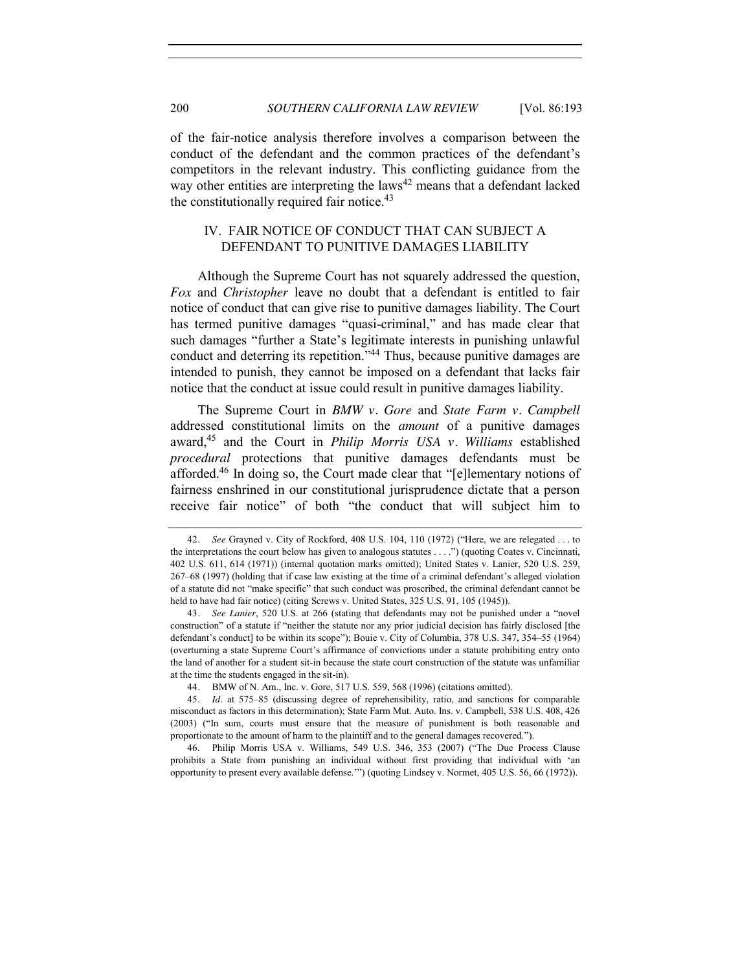of the fair-notice analysis therefore involves a comparison between the conduct of the defendant and the common practices of the defendant's competitors in the relevant industry. This conflicting guidance from the way other entities are interpreting the laws<sup>42</sup> means that a defendant lacked the constitutionally required fair notice.<sup>43</sup>

## IV. FAIR NOTICE OF CONDUCT THAT CAN SUBJECT A DEFENDANT TO PUNITIVE DAMAGES LIABILITY

Although the Supreme Court has not squarely addressed the question, *Fox* and *Christopher* leave no doubt that a defendant is entitled to fair notice of conduct that can give rise to punitive damages liability. The Court has termed punitive damages "quasi-criminal," and has made clear that such damages "further a State's legitimate interests in punishing unlawful conduct and deterring its repetition."<sup>44</sup> Thus, because punitive damages are intended to punish, they cannot be imposed on a defendant that lacks fair notice that the conduct at issue could result in punitive damages liability.

The Supreme Court in *BMW v. Gore* and *State Farm v. Campbell* addressed constitutional limits on the *amount* of a punitive damages award,45 and the Court in *Philip Morris USA v. Williams* established *procedural* protections that punitive damages defendants must be afforded.46 In doing so, the Court made clear that "[e]lementary notions of fairness enshrined in our constitutional jurisprudence dictate that a person receive fair notice" of both "the conduct that will subject him to

<sup>42</sup>*. See* Grayned v. City of Rockford, 408 U.S. 104, 110 (1972) ("Here, we are relegated . . . to the interpretations the court below has given to analogous statutes . . . .") (quoting Coates v. Cincinnati, 402 U.S. 611, 614 (1971)) (internal quotation marks omitted); United States v. Lanier, 520 U.S. 259, 267–68 (1997) (holding that if case law existing at the time of a criminal defendant's alleged violation of a statute did not "make specific" that such conduct was proscribed, the criminal defendant cannot be held to have had fair notice) (citing Screws v. United States, 325 U.S. 91, 105 (1945)).

<sup>43</sup>*. See Lanier*, 520 U.S. at 266 (stating that defendants may not be punished under a "novel construction" of a statute if "neither the statute nor any prior judicial decision has fairly disclosed [the defendant's conduct] to be within its scope"); Bouie v. City of Columbia, 378 U.S. 347, 354–55 (1964) (overturning a state Supreme Court's affirmance of convictions under a statute prohibiting entry onto the land of another for a student sit-in because the state court construction of the statute was unfamiliar at the time the students engaged in the sit-in).

<sup>44</sup>*.* BMW of N. Am., Inc. v. Gore, 517 U.S. 559, 568 (1996) (citations omitted).

<sup>45</sup>*. Id.* at 575–85 (discussing degree of reprehensibility, ratio, and sanctions for comparable misconduct as factors in this determination); State Farm Mut. Auto. Ins. v. Campbell, 538 U.S. 408, 426 (2003) ("In sum, courts must ensure that the measure of punishment is both reasonable and proportionate to the amount of harm to the plaintiff and to the general damages recovered.").

<sup>46.</sup> Philip Morris USA v. Williams, 549 U.S. 346, 353 (2007) ("The Due Process Clause prohibits a State from punishing an individual without first providing that individual with 'an opportunity to present every available defense.'") (quoting Lindsey v. Normet, 405 U.S. 56, 66 (1972)).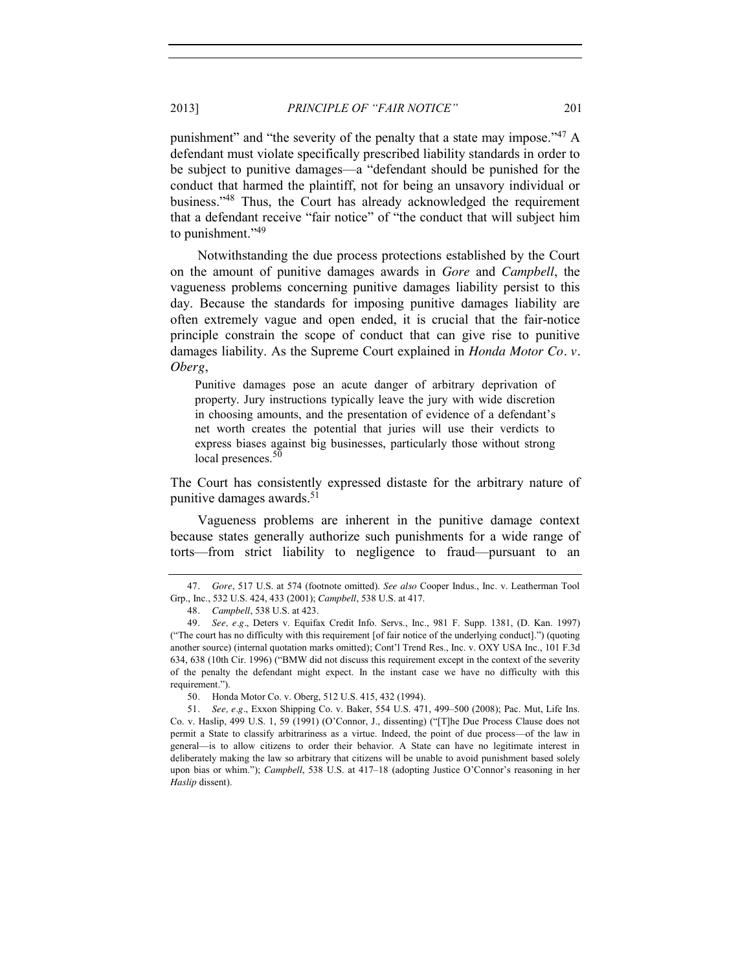punishment" and "the severity of the penalty that a state may impose."<sup>47</sup> A defendant must violate specifically prescribed liability standards in order to be subject to punitive damages—a "defendant should be punished for the conduct that harmed the plaintiff, not for being an unsavory individual or business."<sup>48</sup> Thus, the Court has already acknowledged the requirement that a defendant receive "fair notice" of "the conduct that will subject him to punishment."49

Notwithstanding the due process protections established by the Court on the amount of punitive damages awards in *Gore* and *Campbell*, the vagueness problems concerning punitive damages liability persist to this day. Because the standards for imposing punitive damages liability are often extremely vague and open ended, it is crucial that the fair-notice principle constrain the scope of conduct that can give rise to punitive damages liability. As the Supreme Court explained in *Honda Motor Co. v. Oberg*,

Punitive damages pose an acute danger of arbitrary deprivation of property. Jury instructions typically leave the jury with wide discretion in choosing amounts, and the presentation of evidence of a defendant's net worth creates the potential that juries will use their verdicts to express biases against big businesses, particularly those without strong local presences.<sup>50</sup>

The Court has consistently expressed distaste for the arbitrary nature of punitive damages awards.<sup>51</sup>

Vagueness problems are inherent in the punitive damage context because states generally authorize such punishments for a wide range of torts—from strict liability to negligence to fraud—pursuant to an

<sup>47</sup>*. Gore*, 517 U.S. at 574 (footnote omitted). *See also* Cooper Indus., Inc. v. Leatherman Tool Grp., Inc., 532 U.S. 424, 433 (2001); *Campbell*, 538 U.S. at 417.

<sup>48</sup>*. Campbell*, 538 U.S. at 423.

<sup>49</sup>*. See, e.g.*, Deters v. Equifax Credit Info. Servs., Inc., 981 F. Supp. 1381, (D. Kan. 1997) ("The court has no difficulty with this requirement [of fair notice of the underlying conduct].") (quoting another source) (internal quotation marks omitted); Cont'l Trend Res., Inc. v. OXY USA Inc., 101 F.3d 634, 638 (10th Cir. 1996) ("BMW did not discuss this requirement except in the context of the severity of the penalty the defendant might expect. In the instant case we have no difficulty with this requirement.").

<sup>50</sup>*.* Honda Motor Co. v. Oberg, 512 U.S. 415, 432 (1994).

<sup>51</sup>*. See, e.g.*, Exxon Shipping Co. v. Baker, 554 U.S. 471, 499–500 (2008); Pac. Mut, Life Ins. Co. v. Haslip, 499 U.S. 1, 59 (1991) (O'Connor, J., dissenting) ("[T]he Due Process Clause does not permit a State to classify arbitrariness as a virtue. Indeed, the point of due process—of the law in general—is to allow citizens to order their behavior. A State can have no legitimate interest in deliberately making the law so arbitrary that citizens will be unable to avoid punishment based solely upon bias or whim."); *Campbell*, 538 U.S. at 417–18 (adopting Justice O'Connor's reasoning in her *Haslip* dissent).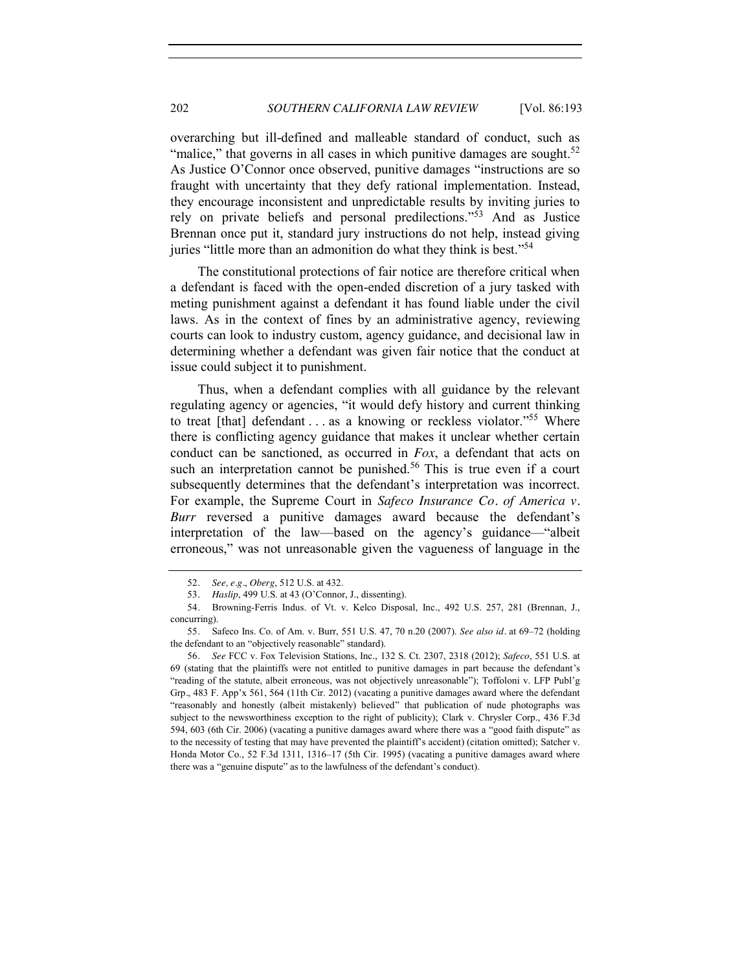overarching but ill-defined and malleable standard of conduct, such as "malice," that governs in all cases in which punitive damages are sought.<sup>52</sup> As Justice O'Connor once observed, punitive damages "instructions are so fraught with uncertainty that they defy rational implementation. Instead, they encourage inconsistent and unpredictable results by inviting juries to rely on private beliefs and personal predilections."<sup>53</sup> And as Justice Brennan once put it, standard jury instructions do not help, instead giving juries "little more than an admonition do what they think is best."<sup>54</sup>

The constitutional protections of fair notice are therefore critical when a defendant is faced with the open-ended discretion of a jury tasked with meting punishment against a defendant it has found liable under the civil laws. As in the context of fines by an administrative agency, reviewing courts can look to industry custom, agency guidance, and decisional law in determining whether a defendant was given fair notice that the conduct at issue could subject it to punishment.

Thus, when a defendant complies with all guidance by the relevant regulating agency or agencies, "it would defy history and current thinking to treat [that] defendant . . . as a knowing or reckless violator."<sup>55</sup> Where there is conflicting agency guidance that makes it unclear whether certain conduct can be sanctioned, as occurred in *Fox*, a defendant that acts on such an interpretation cannot be punished.<sup>56</sup> This is true even if a court subsequently determines that the defendant's interpretation was incorrect. For example, the Supreme Court in *Safeco Insurance Co. of America v. Burr* reversed a punitive damages award because the defendant's interpretation of the law—based on the agency's guidance—"albeit erroneous," was not unreasonable given the vagueness of language in the

56*. See* FCC v. Fox Television Stations, Inc., 132 S. Ct. 2307, 2318 (2012); *Safeco*, 551 U.S. at 69 (stating that the plaintiffs were not entitled to punitive damages in part because the defendant's "reading of the statute, albeit erroneous, was not objectively unreasonable"); Toffoloni v. LFP Publ'g Grp., 483 F. App'x 561, 564 (11th Cir. 2012) (vacating a punitive damages award where the defendant "reasonably and honestly (albeit mistakenly) believed" that publication of nude photographs was subject to the newsworthiness exception to the right of publicity); Clark v. Chrysler Corp., 436 F.3d 594, 603 (6th Cir. 2006) (vacating a punitive damages award where there was a "good faith dispute" as to the necessity of testing that may have prevented the plaintiff's accident) (citation omitted); Satcher v. Honda Motor Co., 52 F.3d 1311, 1316–17 (5th Cir. 1995) (vacating a punitive damages award where there was a "genuine dispute" as to the lawfulness of the defendant's conduct).

<sup>52</sup>*. See, e.g.*, *Oberg*, 512 U.S. at 432.

<sup>53</sup>*. Haslip*, 499 U.S. at 43 (O'Connor, J., dissenting).

<sup>54</sup>*.* Browning-Ferris Indus. of Vt. v. Kelco Disposal, Inc., 492 U.S. 257, 281 (Brennan, J., concurring).

<sup>55</sup>*.* Safeco Ins. Co. of Am. v. Burr, 551 U.S. 47, 70 n.20 (2007). *See also id.* at 69–72 (holding the defendant to an "objectively reasonable" standard).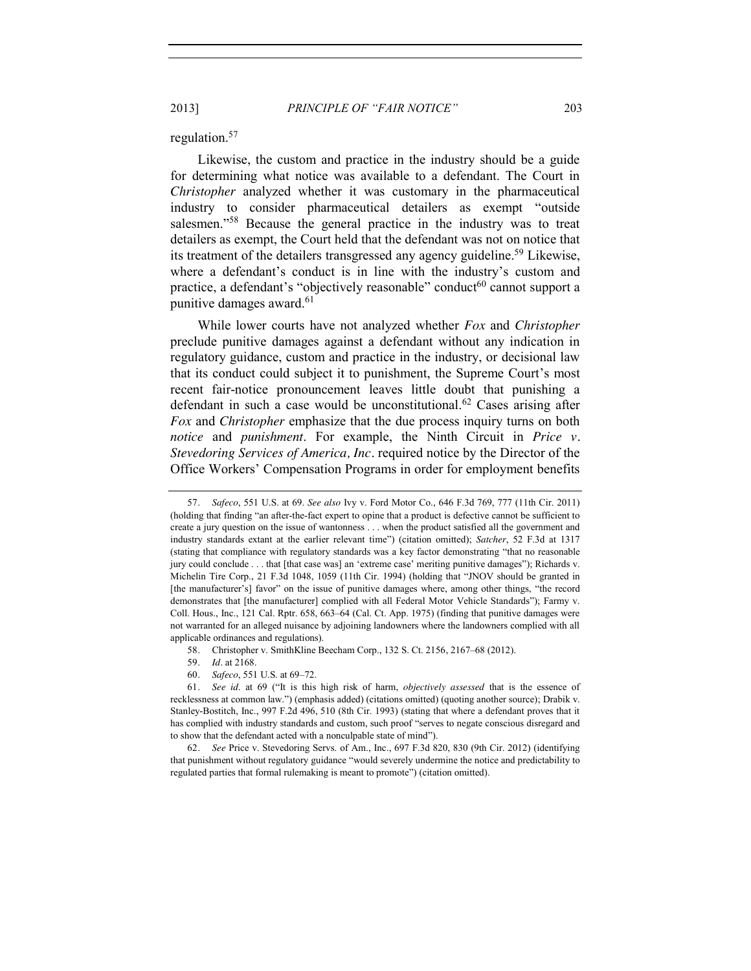2013] *PRINCIPLE OF "FAIR NOTICE"* 203

#### regulation.57

Likewise, the custom and practice in the industry should be a guide for determining what notice was available to a defendant. The Court in *Christopher* analyzed whether it was customary in the pharmaceutical industry to consider pharmaceutical detailers as exempt "outside salesmen."<sup>58</sup> Because the general practice in the industry was to treat detailers as exempt, the Court held that the defendant was not on notice that its treatment of the detailers transgressed any agency guideline.<sup>59</sup> Likewise, where a defendant's conduct is in line with the industry's custom and practice, a defendant's "objectively reasonable" conduct<sup>60</sup> cannot support a punitive damages award.<sup>61</sup>

While lower courts have not analyzed whether *Fox* and *Christopher*  preclude punitive damages against a defendant without any indication in regulatory guidance, custom and practice in the industry, or decisional law that its conduct could subject it to punishment, the Supreme Court's most recent fair-notice pronouncement leaves little doubt that punishing a defendant in such a case would be unconstitutional.<sup>62</sup> Cases arising after *Fox* and *Christopher* emphasize that the due process inquiry turns on both *notice* and *punishment*. For example, the Ninth Circuit in *Price v. Stevedoring Services of America, Inc.* required notice by the Director of the Office Workers' Compensation Programs in order for employment benefits

<sup>57</sup>*. Safeco*, 551 U.S. at 69. *See also* Ivy v. Ford Motor Co., 646 F.3d 769, 777 (11th Cir. 2011) (holding that finding "an after-the-fact expert to opine that a product is defective cannot be sufficient to create a jury question on the issue of wantonness . . . when the product satisfied all the government and industry standards extant at the earlier relevant time") (citation omitted); *Satcher*, 52 F.3d at 1317 (stating that compliance with regulatory standards was a key factor demonstrating "that no reasonable jury could conclude . . . that [that case was] an 'extreme case' meriting punitive damages"); Richards v. Michelin Tire Corp., 21 F.3d 1048, 1059 (11th Cir. 1994) (holding that "JNOV should be granted in [the manufacturer's] favor" on the issue of punitive damages where, among other things, "the record demonstrates that [the manufacturer] complied with all Federal Motor Vehicle Standards"); Farmy v. Coll. Hous., Inc., 121 Cal. Rptr. 658, 663–64 (Cal. Ct. App. 1975) (finding that punitive damages were not warranted for an alleged nuisance by adjoining landowners where the landowners complied with all applicable ordinances and regulations).

<sup>58</sup>*.* Christopher v. SmithKline Beecham Corp., 132 S. Ct. 2156, 2167–68 (2012).

<sup>59</sup>*. Id.* at 2168.

<sup>60</sup>*. Safeco*, 551 U.S. at 69–72.

<sup>61</sup>*. See id*. at 69 ("It is this high risk of harm, *objectively assessed* that is the essence of recklessness at common law.") (emphasis added) (citations omitted) (quoting another source); Drabik v. Stanley-Bostitch, Inc., 997 F.2d 496, 510 (8th Cir. 1993) (stating that where a defendant proves that it has complied with industry standards and custom, such proof "serves to negate conscious disregard and to show that the defendant acted with a nonculpable state of mind").

<sup>62</sup>*. See* Price v. Stevedoring Servs. of Am., Inc., 697 F.3d 820, 830 (9th Cir. 2012) (identifying that punishment without regulatory guidance "would severely undermine the notice and predictability to regulated parties that formal rulemaking is meant to promote") (citation omitted).